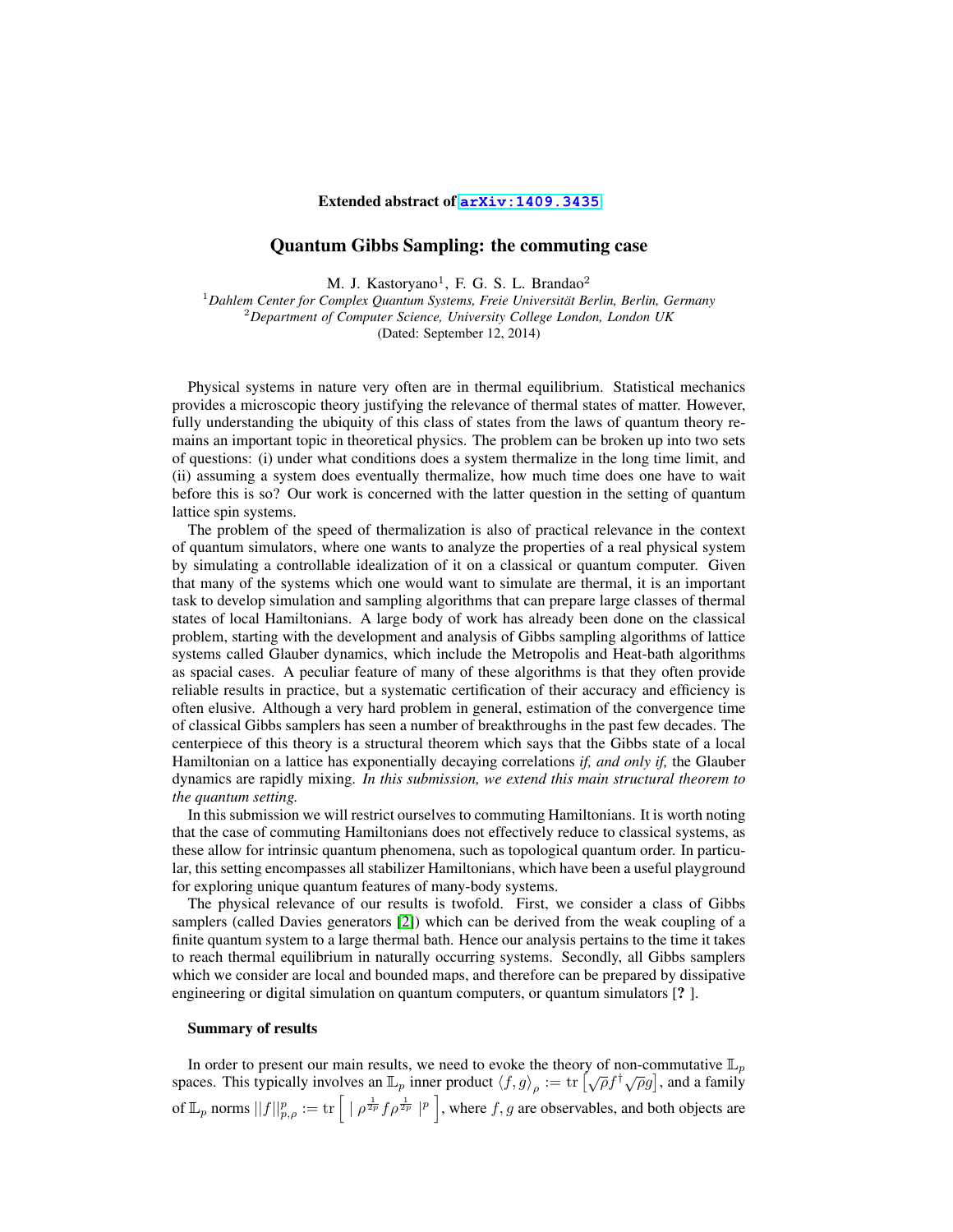## Extended abstract of **[arXiv:1409.3435](http://arxiv.org/abs/1409.3435)**

## Quantum Gibbs Sampling: the commuting case

M. J. Kastoryano<sup>1</sup>, F. G. S. L. Brandao<sup>2</sup>

<sup>1</sup>*Dahlem Center for Complex Quantum Systems, Freie Universitat Berlin, Berlin, Germany ¨* <sup>2</sup>*Department of Computer Science, University College London, London UK* (Dated: September 12, 2014)

Physical systems in nature very often are in thermal equilibrium. Statistical mechanics provides a microscopic theory justifying the relevance of thermal states of matter. However, fully understanding the ubiquity of this class of states from the laws of quantum theory remains an important topic in theoretical physics. The problem can be broken up into two sets of questions: (i) under what conditions does a system thermalize in the long time limit, and (ii) assuming a system does eventually thermalize, how much time does one have to wait before this is so? Our work is concerned with the latter question in the setting of quantum lattice spin systems.

The problem of the speed of thermalization is also of practical relevance in the context of quantum simulators, where one wants to analyze the properties of a real physical system by simulating a controllable idealization of it on a classical or quantum computer. Given that many of the systems which one would want to simulate are thermal, it is an important task to develop simulation and sampling algorithms that can prepare large classes of thermal states of local Hamiltonians. A large body of work has already been done on the classical problem, starting with the development and analysis of Gibbs sampling algorithms of lattice systems called Glauber dynamics, which include the Metropolis and Heat-bath algorithms as spacial cases. A peculiar feature of many of these algorithms is that they often provide reliable results in practice, but a systematic certification of their accuracy and efficiency is often elusive. Although a very hard problem in general, estimation of the convergence time of classical Gibbs samplers has seen a number of breakthroughs in the past few decades. The centerpiece of this theory is a structural theorem which says that the Gibbs state of a local Hamiltonian on a lattice has exponentially decaying correlations *if, and only if,* the Glauber dynamics are rapidly mixing. *In this submission, we extend this main structural theorem to the quantum setting.*

In this submission we will restrict ourselves to commuting Hamiltonians. It is worth noting that the case of commuting Hamiltonians does not effectively reduce to classical systems, as these allow for intrinsic quantum phenomena, such as topological quantum order. In particular, this setting encompasses all stabilizer Hamiltonians, which have been a useful playground for exploring unique quantum features of many-body systems.

The physical relevance of our results is twofold. First, we consider a class of Gibbs samplers (called Davies generators [\[2\]](#page-3-0)) which can be derived from the weak coupling of a finite quantum system to a large thermal bath. Hence our analysis pertains to the time it takes to reach thermal equilibrium in naturally occurring systems. Secondly, all Gibbs samplers which we consider are local and bounded maps, and therefore can be prepared by dissipative engineering or digital simulation on quantum computers, or quantum simulators [? ].

## Summary of results

In order to present our main results, we need to evoke the theory of non-commutative  $\mathbb{L}_p$ spaces. This typically involves an  $\mathbb{L}_p$  inner product  $\langle f, g \rangle_\rho := \text{tr} \left[ \sqrt{\rho} f^\dagger \sqrt{\rho} g \right]$ , and a family of  $\mathbb{L}_p$  norms  $||f||_{p,\rho}^p := \text{tr}\left[ | \rho^{\frac{1}{2p}} f \rho^{\frac{1}{2p}} |^p \right]$ , where  $f,g$  are observables, and both objects are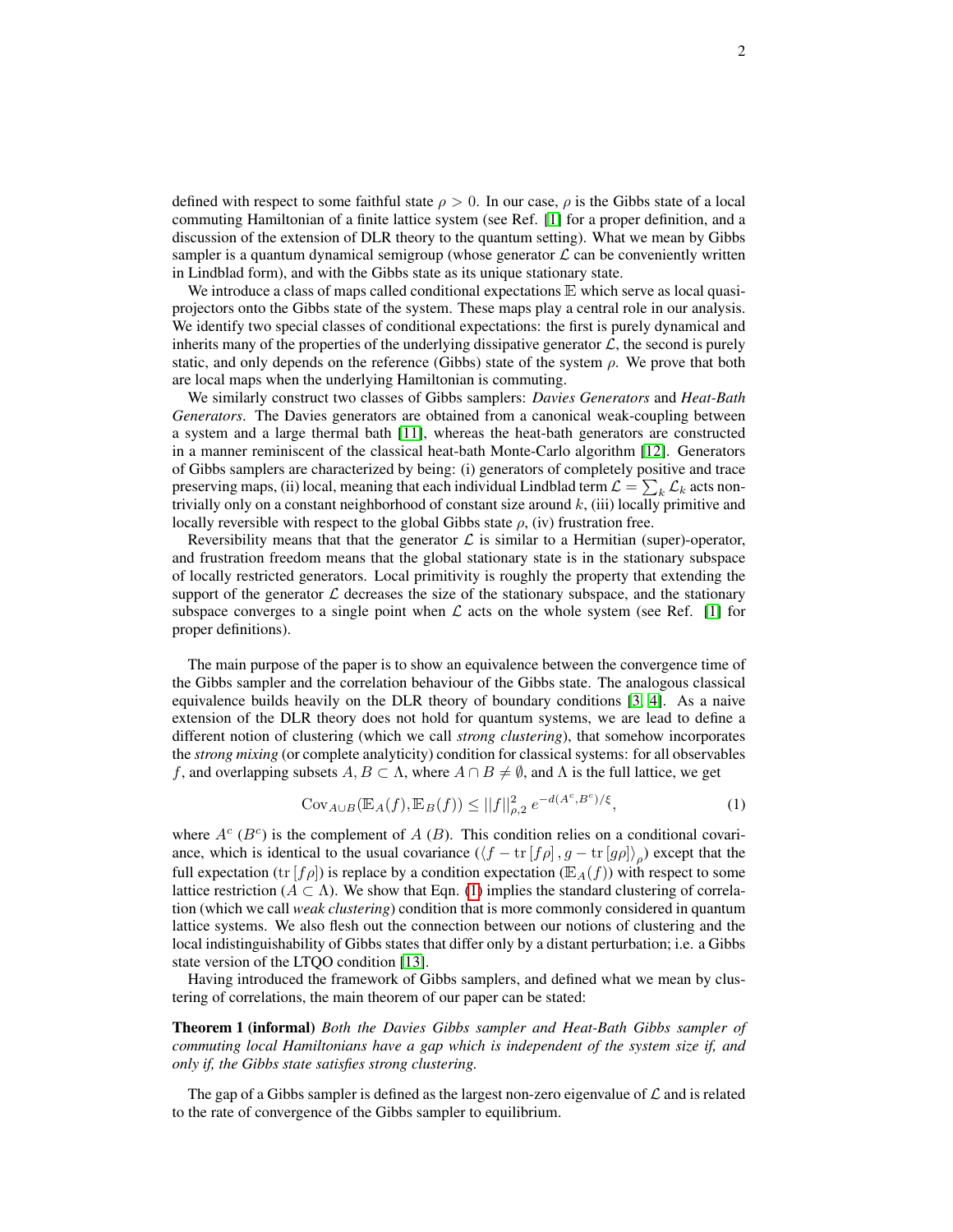defined with respect to some faithful state  $\rho > 0$ . In our case,  $\rho$  is the Gibbs state of a local commuting Hamiltonian of a finite lattice system (see Ref. [\[1\]](#page-3-1) for a proper definition, and a discussion of the extension of DLR theory to the quantum setting). What we mean by Gibbs sampler is a quantum dynamical semigroup (whose generator  $\mathcal L$  can be conveniently written in Lindblad form), and with the Gibbs state as its unique stationary state.

We introduce a class of maps called conditional expectations  $E$  which serve as local quasiprojectors onto the Gibbs state of the system. These maps play a central role in our analysis. We identify two special classes of conditional expectations: the first is purely dynamical and inherits many of the properties of the underlying dissipative generator  $\mathcal{L}$ , the second is purely static, and only depends on the reference (Gibbs) state of the system  $\rho$ . We prove that both are local maps when the underlying Hamiltonian is commuting.

We similarly construct two classes of Gibbs samplers: *Davies Generators* and *Heat-Bath Generators*. The Davies generators are obtained from a canonical weak-coupling between a system and a large thermal bath [\[11\]](#page-3-2), whereas the heat-bath generators are constructed in a manner reminiscent of the classical heat-bath Monte-Carlo algorithm [\[12\]](#page-3-3). Generators of Gibbs samplers are characterized by being: (i) generators of completely positive and trace preserving maps, (ii) local, meaning that each individual Lindblad term  $\mathcal{L} = \sum_k \mathcal{L}_k$  acts nontrivially only on a constant neighborhood of constant size around  $k$ , (iii) locally primitive and locally reversible with respect to the global Gibbs state  $\rho$ , (iv) frustration free.

Reversibility means that that the generator  $\mathcal L$  is similar to a Hermitian (super)-operator, and frustration freedom means that the global stationary state is in the stationary subspace of locally restricted generators. Local primitivity is roughly the property that extending the support of the generator  $\mathcal L$  decreases the size of the stationary subspace, and the stationary subspace converges to a single point when  $\mathcal L$  acts on the whole system (see Ref. [\[1\]](#page-3-1) for proper definitions).

The main purpose of the paper is to show an equivalence between the convergence time of the Gibbs sampler and the correlation behaviour of the Gibbs state. The analogous classical equivalence builds heavily on the DLR theory of boundary conditions [\[3,](#page-3-4) [4\]](#page-3-5). As a naive extension of the DLR theory does not hold for quantum systems, we are lead to define a different notion of clustering (which we call *strong clustering*), that somehow incorporates the *strong mixing* (or complete analyticity) condition for classical systems: for all observables f, and overlapping subsets  $A, B \subset \Lambda$ , where  $A \cap B \neq \emptyset$ , and  $\Lambda$  is the full lattice, we get

<span id="page-1-0"></span>
$$
Cov_{A \cup B}(\mathbb{E}_A(f), \mathbb{E}_B(f)) \le ||f||_{\rho,2}^2 e^{-d(A^c, B^c)/\xi},
$$
\n(1)

where  $A^c$  ( $B^c$ ) is the complement of A (B). This condition relies on a conditional covariance, which is identical to the usual covariance  $(\langle f - \text{tr}[f\rho], g - \text{tr}[g\rho] \rangle_{\rho})$  except that the full expectation (tr  $[f \rho]$ ) is replace by a condition expectation ( $\mathbb{E}_A(f)$ ) with respect to some lattice restriction ( $A \subset \Lambda$ ). We show that Eqn. [\(1\)](#page-1-0) implies the standard clustering of correlation (which we call *weak clustering*) condition that is more commonly considered in quantum lattice systems. We also flesh out the connection between our notions of clustering and the local indistinguishability of Gibbs states that differ only by a distant perturbation; i.e. a Gibbs state version of the LTQO condition [\[13\]](#page-3-6).

Having introduced the framework of Gibbs samplers, and defined what we mean by clustering of correlations, the main theorem of our paper can be stated:

Theorem 1 (informal) *Both the Davies Gibbs sampler and Heat-Bath Gibbs sampler of commuting local Hamiltonians have a gap which is independent of the system size if, and only if, the Gibbs state satisfies strong clustering.*

The gap of a Gibbs sampler is defined as the largest non-zero eigenvalue of  $\mathcal L$  and is related to the rate of convergence of the Gibbs sampler to equilibrium.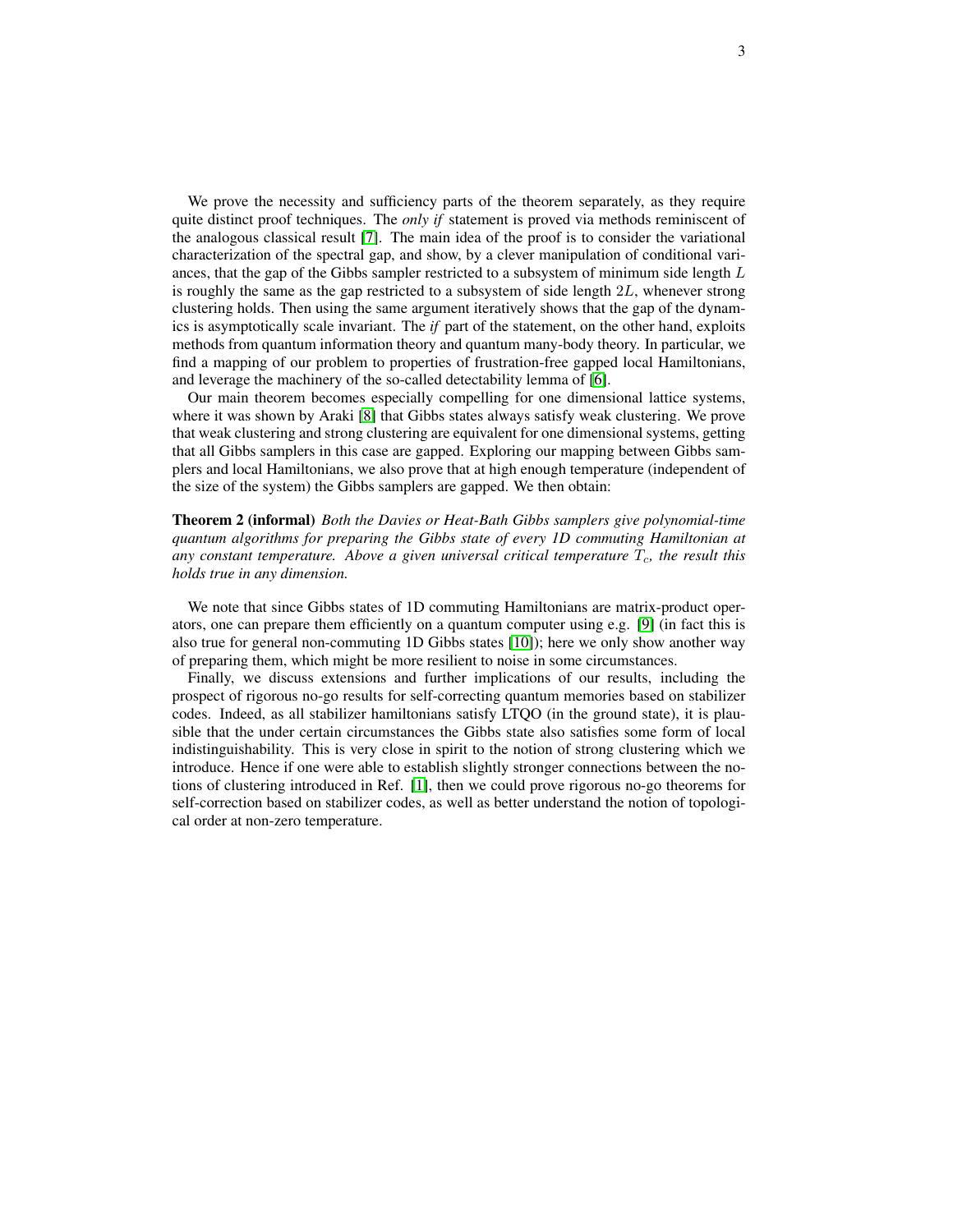We prove the necessity and sufficiency parts of the theorem separately, as they require quite distinct proof techniques. The *only if* statement is proved via methods reminiscent of the analogous classical result [\[7\]](#page-3-7). The main idea of the proof is to consider the variational characterization of the spectral gap, and show, by a clever manipulation of conditional variances, that the gap of the Gibbs sampler restricted to a subsystem of minimum side length  $L$ is roughly the same as the gap restricted to a subsystem of side length 2L, whenever strong clustering holds. Then using the same argument iteratively shows that the gap of the dynamics is asymptotically scale invariant. The *if* part of the statement, on the other hand, exploits methods from quantum information theory and quantum many-body theory. In particular, we find a mapping of our problem to properties of frustration-free gapped local Hamiltonians, and leverage the machinery of the so-called detectability lemma of [\[6\]](#page-3-8).

Our main theorem becomes especially compelling for one dimensional lattice systems, where it was shown by Araki [\[8\]](#page-3-9) that Gibbs states always satisfy weak clustering. We prove that weak clustering and strong clustering are equivalent for one dimensional systems, getting that all Gibbs samplers in this case are gapped. Exploring our mapping between Gibbs samplers and local Hamiltonians, we also prove that at high enough temperature (independent of the size of the system) the Gibbs samplers are gapped. We then obtain:

Theorem 2 (informal) *Both the Davies or Heat-Bath Gibbs samplers give polynomial-time quantum algorithms for preparing the Gibbs state of every 1D commuting Hamiltonian at* any constant temperature. Above a given universal critical temperature  $T_c$ , the result this *holds true in any dimension.*

We note that since Gibbs states of 1D commuting Hamiltonians are matrix-product operators, one can prepare them efficiently on a quantum computer using e.g. [\[9\]](#page-3-10) (in fact this is also true for general non-commuting 1D Gibbs states [\[10\]](#page-3-11)); here we only show another way of preparing them, which might be more resilient to noise in some circumstances.

Finally, we discuss extensions and further implications of our results, including the prospect of rigorous no-go results for self-correcting quantum memories based on stabilizer codes. Indeed, as all stabilizer hamiltonians satisfy LTQO (in the ground state), it is plausible that the under certain circumstances the Gibbs state also satisfies some form of local indistinguishability. This is very close in spirit to the notion of strong clustering which we introduce. Hence if one were able to establish slightly stronger connections between the notions of clustering introduced in Ref. [\[1\]](#page-3-1), then we could prove rigorous no-go theorems for self-correction based on stabilizer codes, as well as better understand the notion of topological order at non-zero temperature.